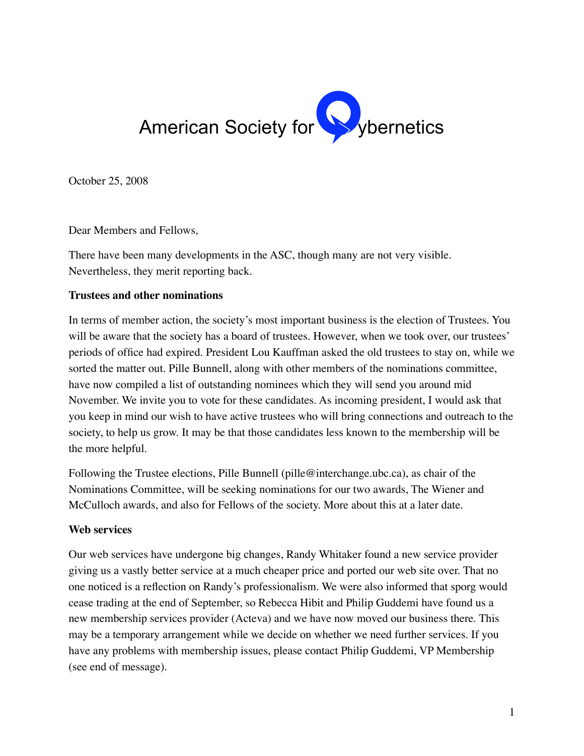

October 25, 2008

Dear Members and Fellows,

There have been many developments in the ASC, though many are not very visible. Nevertheless, they merit reporting back.

### **Trustees and other nominations**

In terms of member action, the society's most important business is the election of Trustees. You will be aware that the society has a board of trustees. However, when we took over, our trustees' periods of office had expired. President Lou Kauffman asked the old trustees to stay on, while we sorted the matter out. Pille Bunnell, along with other members of the nominations committee, have now compiled a list of outstanding nominees which they will send you around mid November. We invite you to vote for these candidates. As incoming president, I would ask that you keep in mind our wish to have active trustees who will bring connections and outreach to the society, to help us grow. It may be that those candidates less known to the membership will be the more helpful.

Following the Trustee elections, Pille Bunnell (pille@interchange.ubc.ca), as chair of the Nominations Committee, will be seeking nominations for our two awards, The Wiener and McCulloch awards, and also for Fellows of the society. More about this at a later date.

# **Web services**

Our web services have undergone big changes, Randy Whitaker found a new service provider giving us a vastly better service at a much cheaper price and ported our web site over. That no one noticed is a reflection on Randy's professionalism. We were also informed that sporg would cease trading at the end of September, so Rebecca Hibit and Philip Guddemi have found us a new membership services provider (Acteva) and we have now moved our business there. This may be a temporary arrangement while we decide on whether we need further services. If you have any problems with membership issues, please contact Philip Guddemi, VP Membership (see end of message).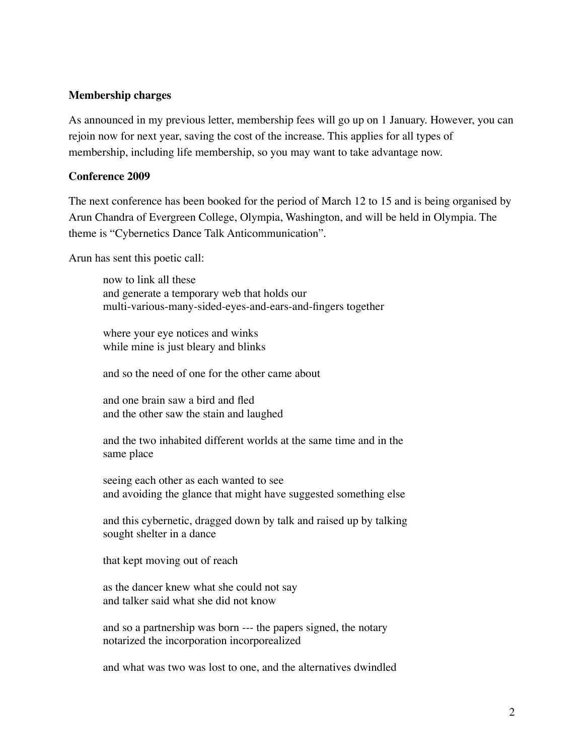### **Membership charges**

As announced in my previous letter, membership fees will go up on 1 January. However, you can rejoin now for next year, saving the cost of the increase. This applies for all types of membership, including life membership, so you may want to take advantage now.

#### **Conference 2009**

The next conference has been booked for the period of March 12 to 15 and is being organised by Arun Chandra of Evergreen College, Olympia, Washington, and will be held in Olympia. The theme is "Cybernetics Dance Talk Anticommunication".

Arun has sent this poetic call:

now to link all these and generate a temporary web that holds our multi-various-many-sided-eyes-and-ears-and-fingers together

where your eye notices and winks while mine is just bleary and blinks

and so the need of one for the other came about

and one brain saw a bird and fled and the other saw the stain and laughed

and the two inhabited different worlds at the same time and in the same place

seeing each other as each wanted to see and avoiding the glance that might have suggested something else

and this cybernetic, dragged down by talk and raised up by talking sought shelter in a dance

that kept moving out of reach

as the dancer knew what she could not say and talker said what she did not know

and so a partnership was born --- the papers signed, the notary notarized the incorporation incorporealized

and what was two was lost to one, and the alternatives dwindled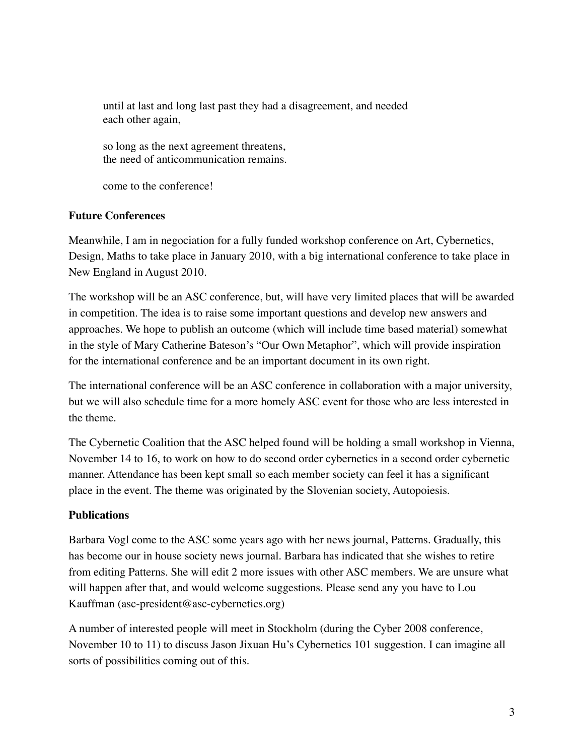until at last and long last past they had a disagreement, and needed each other again,

so long as the next agreement threatens, the need of anticommunication remains.

come to the conference!

# **Future Conferences**

Meanwhile, I am in negociation for a fully funded workshop conference on Art, Cybernetics, Design, Maths to take place in January 2010, with a big international conference to take place in New England in August 2010.

The workshop will be an ASC conference, but, will have very limited places that will be awarded in competition. The idea is to raise some important questions and develop new answers and approaches. We hope to publish an outcome (which will include time based material) somewhat in the style of Mary Catherine Bateson's "Our Own Metaphor", which will provide inspiration for the international conference and be an important document in its own right.

The international conference will be an ASC conference in collaboration with a major university, but we will also schedule time for a more homely ASC event for those who are less interested in the theme.

The Cybernetic Coalition that the ASC helped found will be holding a small workshop in Vienna, November 14 to 16, to work on how to do second order cybernetics in a second order cybernetic manner. Attendance has been kept small so each member society can feel it has a significant place in the event. The theme was originated by the Slovenian society, Autopoiesis.

# **Publications**

Barbara Vogl come to the ASC some years ago with her news journal, Patterns. Gradually, this has become our in house society news journal. Barbara has indicated that she wishes to retire from editing Patterns. She will edit 2 more issues with other ASC members. We are unsure what will happen after that, and would welcome suggestions. Please send any you have to Lou Kauffman (asc-president@asc-cybernetics.org)

A number of interested people will meet in Stockholm (during the Cyber 2008 conference, November 10 to 11) to discuss Jason Jixuan Hu's Cybernetics 101 suggestion. I can imagine all sorts of possibilities coming out of this.